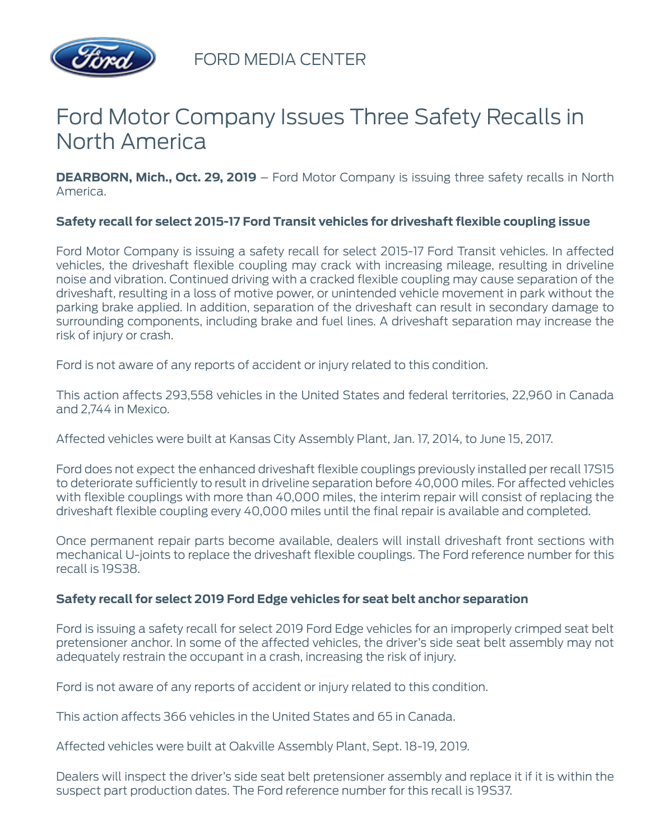

FORD MEDIA CENTER

# Ford Motor Company Issues Three Safety Recalls in North America

**DEARBORN, Mich., Oct. 29, 2019** – Ford Motor Company is issuing three safety recalls in North America.

## **Safety recall for select 2015-17 Ford Transit vehicles for driveshaft flexible coupling issue**

Ford Motor Company is issuing a safety recall for select 2015-17 Ford Transit vehicles. In affected vehicles, the driveshaft flexible coupling may crack with increasing mileage, resulting in driveline noise and vibration. Continued driving with a cracked flexible coupling may cause separation of the driveshaft, resulting in a loss of motive power, or unintended vehicle movement in park without the parking brake applied. In addition, separation of the driveshaft can result in secondary damage to surrounding components, including brake and fuel lines. A driveshaft separation may increase the risk of injury or crash.

Ford is not aware of any reports of accident or injury related to this condition.

This action affects 293,558 vehicles in the United States and federal territories, 22,960 in Canada and 2,744 in Mexico.

Affected vehicles were built at Kansas City Assembly Plant, Jan. 17, 2014, to June 15, 2017.

Ford does not expect the enhanced driveshaft flexible couplings previously installed per recall 17S15 to deteriorate sufficiently to result in driveline separation before 40,000 miles. For affected vehicles with flexible couplings with more than 40,000 miles, the interim repair will consist of replacing the driveshaft flexible coupling every 40,000 miles until the final repair is available and completed.

Once permanent repair parts become available, dealers will install driveshaft front sections with mechanical U-joints to replace the driveshaft flexible couplings. The Ford reference number for this recall is 19S38.

## **Safety recall for select 2019 Ford Edge vehicles for seat belt anchor separation**

Ford is issuing a safety recall for select 2019 Ford Edge vehicles for an improperly crimped seat belt pretensioner anchor. In some of the affected vehicles, the driver's side seat belt assembly may not adequately restrain the occupant in a crash, increasing the risk of injury.

Ford is not aware of any reports of accident or injury related to this condition.

This action affects 366 vehicles in the United States and 65 in Canada.

Affected vehicles were built at Oakville Assembly Plant, Sept. 18-19, 2019.

Dealers will inspect the driver's side seat belt pretensioner assembly and replace it if it is within the suspect part production dates. The Ford reference number for this recall is 19S37.